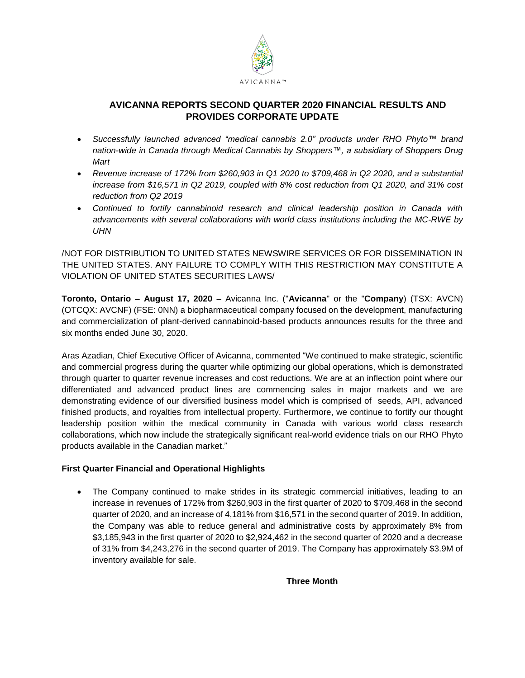

# **AVICANNA REPORTS SECOND QUARTER 2020 FINANCIAL RESULTS AND PROVIDES CORPORATE UPDATE**

- *Successfully launched advanced "medical cannabis 2.0" products under RHO Phyto™ brand nation-wide in Canada through Medical Cannabis by Shoppers™, a subsidiary of Shoppers Drug Mart*
- *Revenue increase of 172% from \$260,903 in Q1 2020 to \$709,468 in Q2 2020, and a substantial increase from \$16,571 in Q2 2019, coupled with 8% cost reduction from Q1 2020, and 31% cost reduction from Q2 2019*
- *Continued to fortify cannabinoid research and clinical leadership position in Canada with advancements with several collaborations with world class institutions including the MC-RWE by UHN*

/NOT FOR DISTRIBUTION TO UNITED STATES NEWSWIRE SERVICES OR FOR DISSEMINATION IN THE UNITED STATES. ANY FAILURE TO COMPLY WITH THIS RESTRICTION MAY CONSTITUTE A VIOLATION OF UNITED STATES SECURITIES LAWS/

**Toronto, Ontario – August 17, 2020 –** Avicanna Inc. ("**Avicanna**" or the "**Company**) (TSX: AVCN) (OTCQX: AVCNF) (FSE: 0NN) a biopharmaceutical company focused on the development, manufacturing and commercialization of plant-derived cannabinoid-based products announces results for the three and six months ended June 30, 2020.

Aras Azadian, Chief Executive Officer of Avicanna, commented "We continued to make strategic, scientific and commercial progress during the quarter while optimizing our global operations, which is demonstrated through quarter to quarter revenue increases and cost reductions. We are at an inflection point where our differentiated and advanced product lines are commencing sales in major markets and we are demonstrating evidence of our diversified business model which is comprised of seeds, API, advanced finished products, and royalties from intellectual property. Furthermore, we continue to fortify our thought leadership position within the medical community in Canada with various world class research collaborations, which now include the strategically significant real-world evidence trials on our RHO Phyto products available in the Canadian market."

## **First Quarter Financial and Operational Highlights**

 The Company continued to make strides in its strategic commercial initiatives, leading to an increase in revenues of 172% from \$260,903 in the first quarter of 2020 to \$709,468 in the second quarter of 2020, and an increase of 4,181% from \$16,571 in the second quarter of 2019. In addition, the Company was able to reduce general and administrative costs by approximately 8% from \$3,185,943 in the first quarter of 2020 to \$2,924,462 in the second quarter of 2020 and a decrease of 31% from \$4,243,276 in the second quarter of 2019. The Company has approximately \$3.9M of inventory available for sale.

**Three Month**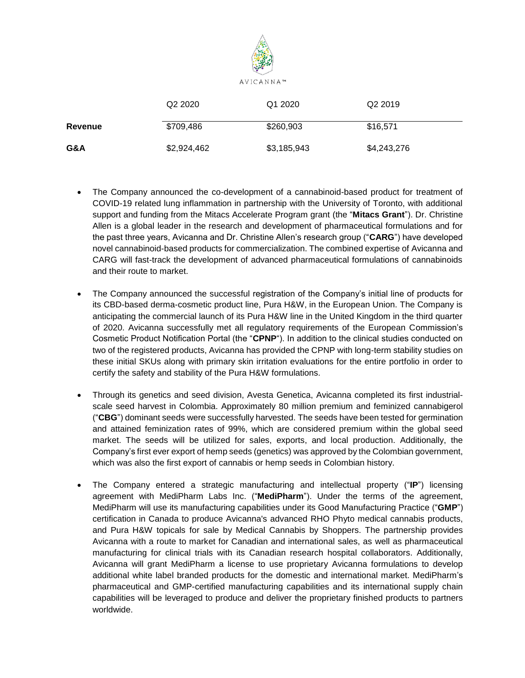

|                | Q <sub>2</sub> 2020 | Q1 2020     | Q <sub>2</sub> 2019 |
|----------------|---------------------|-------------|---------------------|
| <b>Revenue</b> | \$709,486           | \$260,903   | \$16,571            |
| G&A            | \$2,924,462         | \$3,185,943 | \$4,243,276         |

- The Company announced the co-development of a cannabinoid-based product for treatment of COVID-19 related lung inflammation in partnership with the University of Toronto, with additional support and funding from the Mitacs Accelerate Program grant (the "**Mitacs Grant**"). Dr. Christine Allen is a global leader in the research and development of pharmaceutical formulations and for the past three years, Avicanna and Dr. Christine Allen's research group ("**CARG**") have developed novel cannabinoid-based products for commercialization. The combined expertise of Avicanna and CARG will fast-track the development of advanced pharmaceutical formulations of cannabinoids and their route to market.
- The Company announced the successful registration of the Company's initial line of products for its CBD-based derma-cosmetic product line, Pura H&W, in the European Union. The Company is anticipating the commercial launch of its Pura H&W line in the United Kingdom in the third quarter of 2020. Avicanna successfully met all regulatory requirements of the European Commission's Cosmetic Product Notification Portal (the "**CPNP**"). In addition to the clinical studies conducted on two of the registered products, Avicanna has provided the CPNP with long-term stability studies on these initial SKUs along with primary skin irritation evaluations for the entire portfolio in order to certify the safety and stability of the Pura H&W formulations.
- Through its genetics and seed division, Avesta Genetica, Avicanna completed its first industrialscale seed harvest in Colombia. Approximately 80 million premium and feminized cannabigerol ("**CBG**") dominant seeds were successfully harvested. The seeds have been tested for germination and attained feminization rates of 99%, which are considered premium within the global seed market. The seeds will be utilized for sales, exports, and local production. Additionally, the Company's first ever export of hemp seeds (genetics) was approved by the Colombian government, which was also the first export of cannabis or hemp seeds in Colombian history.
- The Company entered a strategic manufacturing and intellectual property ("**IP**") licensing agreement with MediPharm Labs Inc. ("**MediPharm**"). Under the terms of the agreement, MediPharm will use its manufacturing capabilities under its Good Manufacturing Practice ("**GMP**") certification in Canada to produce Avicanna's advanced RHO Phyto medical cannabis products, and Pura H&W topicals for sale by Medical Cannabis by Shoppers. The partnership provides Avicanna with a route to market for Canadian and international sales, as well as pharmaceutical manufacturing for clinical trials with its Canadian research hospital collaborators. Additionally, Avicanna will grant MediPharm a license to use proprietary Avicanna formulations to develop additional white label branded products for the domestic and international market. MediPharm's pharmaceutical and GMP-certified manufacturing capabilities and its international supply chain capabilities will be leveraged to produce and deliver the proprietary finished products to partners worldwide.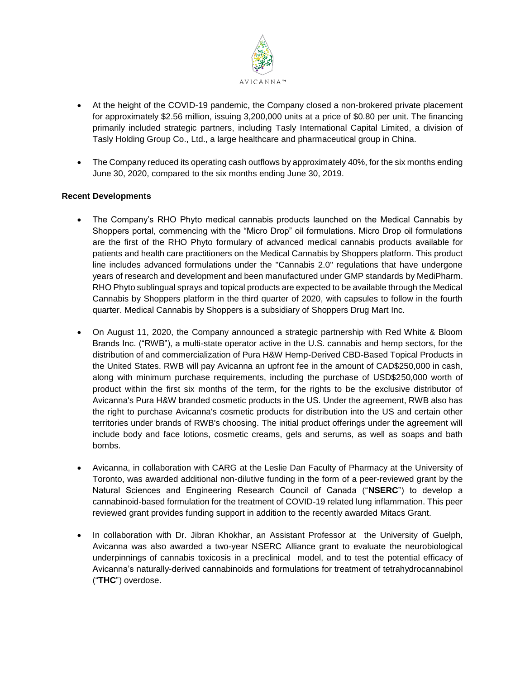

- At the height of the COVID-19 pandemic, the Company closed a non-brokered private placement for approximately \$2.56 million, issuing 3,200,000 units at a price of \$0.80 per unit. The financing primarily included strategic partners, including Tasly International Capital Limited, a division of Tasly Holding Group Co., Ltd., a large healthcare and pharmaceutical group in China.
- The Company reduced its operating cash outflows by approximately 40%, for the six months ending June 30, 2020, compared to the six months ending June 30, 2019.

## **Recent Developments**

- The Company's RHO Phyto medical cannabis products launched on the Medical Cannabis by Shoppers portal, commencing with the "Micro Drop" oil formulations. Micro Drop oil formulations are the first of the RHO Phyto formulary of advanced medical cannabis products available for patients and health care practitioners on the Medical Cannabis by Shoppers platform. This product line includes advanced formulations under the "Cannabis 2.0" regulations that have undergone years of research and development and been manufactured under GMP standards by MediPharm. RHO Phyto sublingual sprays and topical products are expected to be available through the Medical Cannabis by Shoppers platform in the third quarter of 2020, with capsules to follow in the fourth quarter. Medical Cannabis by Shoppers is a subsidiary of Shoppers Drug Mart Inc.
- On August 11, 2020, the Company announced a strategic partnership with Red White & Bloom Brands Inc. ("RWB"), a multi-state operator active in the U.S. cannabis and hemp sectors, for the distribution of and commercialization of Pura H&W Hemp-Derived CBD-Based Topical Products in the United States. RWB will pay Avicanna an upfront fee in the amount of CAD\$250,000 in cash, along with minimum purchase requirements, including the purchase of USD\$250,000 worth of product within the first six months of the term, for the rights to be the exclusive distributor of Avicanna's Pura H&W branded cosmetic products in the US. Under the agreement, RWB also has the right to purchase Avicanna's cosmetic products for distribution into the US and certain other territories under brands of RWB's choosing. The initial product offerings under the agreement will include body and face lotions, cosmetic creams, gels and serums, as well as soaps and bath bombs.
- Avicanna, in collaboration with CARG at the Leslie Dan Faculty of Pharmacy at the University of Toronto, was awarded additional non-dilutive funding in the form of a peer-reviewed grant by the Natural Sciences and Engineering Research Council of Canada ("**NSERC**") to develop a cannabinoid-based formulation for the treatment of COVID-19 related lung inflammation. This peer reviewed grant provides funding support in addition to the recently awarded Mitacs Grant.
- In collaboration with Dr. Jibran Khokhar, an Assistant Professor at the University of Guelph, Avicanna was also awarded a two-year NSERC Alliance grant to evaluate the neurobiological underpinnings of cannabis toxicosis in a preclinical model, and to test the potential efficacy of Avicanna's naturally-derived cannabinoids and formulations for treatment of tetrahydrocannabinol ("**THC**") overdose.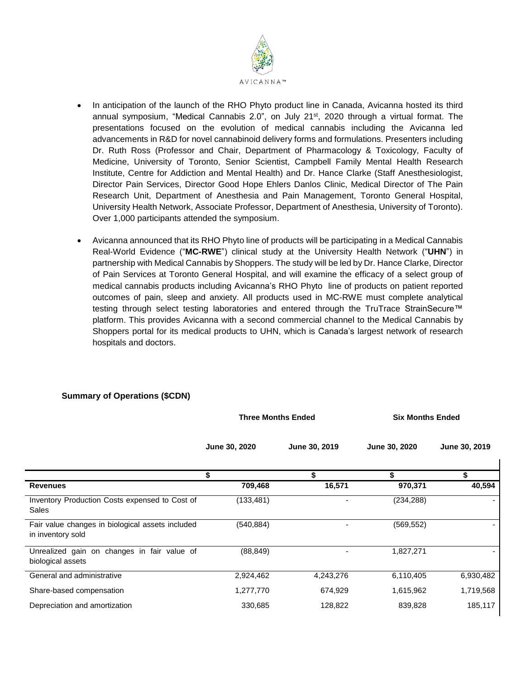

- In anticipation of the launch of the RHO Phyto product line in Canada, Avicanna hosted its third annual symposium, "Medical Cannabis 2.0", on July 21<sup>st</sup>, 2020 through a virtual format. The presentations focused on the evolution of medical cannabis including the Avicanna led advancements in R&D for novel cannabinoid delivery forms and formulations. Presenters including Dr. Ruth Ross (Professor and Chair, Department of Pharmacology & Toxicology, Faculty of Medicine, University of Toronto, Senior Scientist, Campbell Family Mental Health Research Institute, Centre for Addiction and Mental Health) and Dr. Hance Clarke (Staff Anesthesiologist, Director Pain Services, Director Good Hope Ehlers Danlos Clinic, Medical Director of The Pain Research Unit, Department of Anesthesia and Pain Management, Toronto General Hospital, University Health Network, Associate Professor, Department of Anesthesia, University of Toronto). Over 1,000 participants attended the symposium.
- Avicanna announced that its RHO Phyto line of products will be participating in a Medical Cannabis Real-World Evidence ("**MC-RWE**") clinical study at the University Health Network ("**UHN**") in partnership with Medical Cannabis by Shoppers. The study will be led by Dr. Hance Clarke, Director of Pain Services at Toronto General Hospital, and will examine the efficacy of a select group of medical cannabis products including Avicanna's RHO Phyto line of products on patient reported outcomes of pain, sleep and anxiety. All products used in MC-RWE must complete analytical testing through select testing laboratories and entered through the TruTrace StrainSecure™ platform. This provides Avicanna with a second commercial channel to the Medical Cannabis by Shoppers portal for its medical products to UHN, which is Canada's largest network of research hospitals and doctors.

# **Summary of Operations (\$CDN)**

|                                                                       | <b>Three Months Ended</b> |               | <b>Six Months Ended</b> |               |
|-----------------------------------------------------------------------|---------------------------|---------------|-------------------------|---------------|
|                                                                       | June 30, 2020             | June 30, 2019 | <b>June 30, 2020</b>    | June 30, 2019 |
|                                                                       | \$                        | \$            | \$                      | \$            |
| <b>Revenues</b>                                                       | 709,468                   | 16,571        | 970,371                 | 40,594        |
| Inventory Production Costs expensed to Cost of<br>Sales               | (133,481)                 |               | (234,288)               |               |
| Fair value changes in biological assets included<br>in inventory sold | (540,884)                 |               | (569, 552)              |               |
| Unrealized gain on changes in fair value of<br>biological assets      | (88, 849)                 |               | 1,827,271               |               |
| General and administrative                                            | 2,924,462                 | 4,243,276     | 6,110,405               | 6,930,482     |
| Share-based compensation                                              | 1,277,770                 | 674,929       | 1,615,962               | 1,719,568     |
| Depreciation and amortization                                         | 330,685                   | 128,822       | 839,828                 | 185,117       |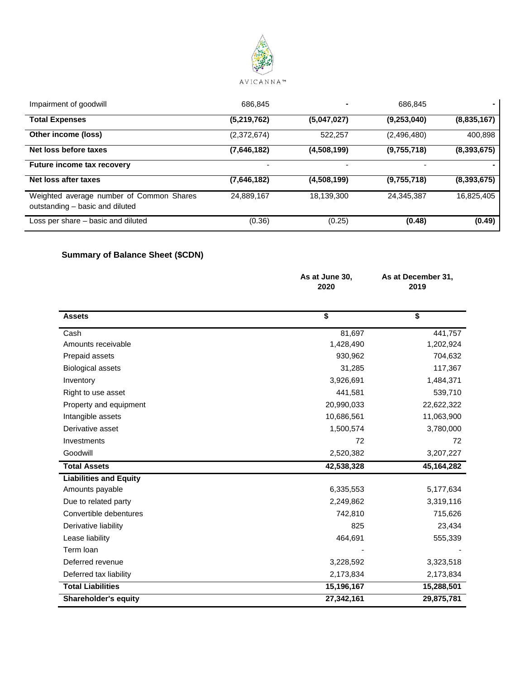

| Impairment of goodwill                                                      | 686.845                  |             | 686.845     |               |
|-----------------------------------------------------------------------------|--------------------------|-------------|-------------|---------------|
| <b>Total Expenses</b>                                                       | (5,219,762)              | (5,047,027) | (9,253,040) | (8,835,167)   |
| Other income (loss)                                                         | (2,372,674)              | 522,257     | (2,496,480) | 400,898       |
| Net loss before taxes                                                       | (7,646,182)              | (4,508,199) | (9,755,718) | (8,393,675)   |
| <b>Future income tax recovery</b>                                           | $\overline{\phantom{a}}$ |             | -           |               |
| Net loss after taxes                                                        | (7,646,182)              | (4,508,199) | (9,755,718) | (8, 393, 675) |
| Weighted average number of Common Shares<br>outstanding - basic and diluted | 24,889,167               | 18,139,300  | 24,345,387  | 16,825,405    |
| Loss per share – basic and diluted                                          | (0.36)                   | (0.25)      | (0.48)      | (0.49)        |

# **Summary of Balance Sheet (\$CDN)**

|                               | As at June 30,<br>2020 | As at December 31,<br>2019 |  |
|-------------------------------|------------------------|----------------------------|--|
| <b>Assets</b>                 | \$                     | \$                         |  |
| Cash                          | 81,697                 | 441,757                    |  |
| Amounts receivable            | 1,428,490              | 1,202,924                  |  |
| Prepaid assets                | 930,962                | 704,632                    |  |
| <b>Biological assets</b>      | 31,285                 | 117,367                    |  |
| Inventory                     | 3,926,691              | 1,484,371                  |  |
| Right to use asset            | 441,581                | 539,710                    |  |
| Property and equipment        | 20,990,033             | 22,622,322                 |  |
| Intangible assets             | 10,686,561             | 11,063,900                 |  |
| Derivative asset              | 1,500,574              | 3,780,000                  |  |
| Investments                   | 72                     | 72                         |  |
| Goodwill                      | 2,520,382              | 3,207,227                  |  |
| <b>Total Assets</b>           | 42,538,328             | 45,164,282                 |  |
| <b>Liabilities and Equity</b> |                        |                            |  |
| Amounts payable               | 6,335,553              | 5,177,634                  |  |
| Due to related party          | 2,249,862              | 3,319,116                  |  |
| Convertible debentures        | 742,810                | 715,626                    |  |
| Derivative liability          | 825                    | 23,434                     |  |
| Lease liability               | 464,691                | 555,339                    |  |
| Term loan                     |                        |                            |  |
| Deferred revenue              | 3,228,592              | 3,323,518                  |  |
| Deferred tax liability        | 2,173,834              | 2,173,834                  |  |
| <b>Total Liabilities</b>      | 15,196,167             | 15,288,501                 |  |
| <b>Shareholder's equity</b>   | 27,342,161             | 29,875,781                 |  |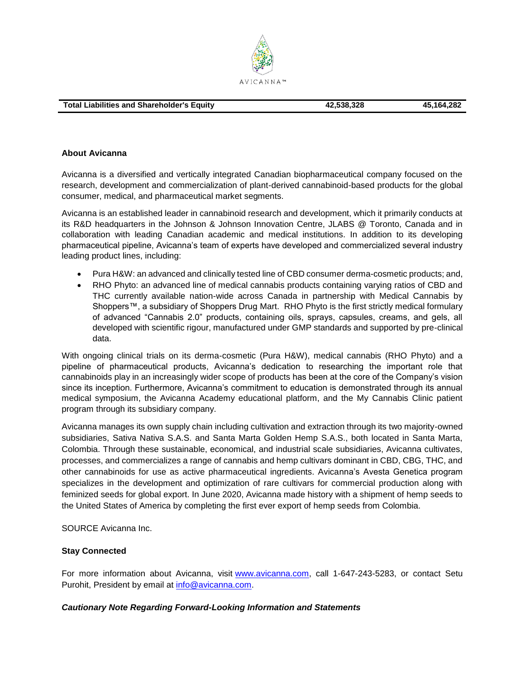

#### **About Avicanna**

Avicanna is a diversified and vertically integrated Canadian biopharmaceutical company focused on the research, development and commercialization of plant-derived cannabinoid-based products for the global consumer, medical, and pharmaceutical market segments.

Avicanna is an established leader in cannabinoid research and development, which it primarily conducts at its R&D headquarters in the Johnson & Johnson Innovation Centre, JLABS @ Toronto, Canada and in collaboration with leading Canadian academic and medical institutions. In addition to its developing pharmaceutical pipeline, Avicanna's team of experts have developed and commercialized several industry leading product lines, including:

- Pura H&W: an advanced and clinically tested line of CBD consumer derma-cosmetic products; and,
- RHO Phyto: an advanced line of medical cannabis products containing varying ratios of CBD and THC currently available nation-wide across Canada in partnership with Medical Cannabis by Shoppers™, a subsidiary of Shoppers Drug Mart. RHO Phyto is the first strictly medical formulary of advanced "Cannabis 2.0" products, containing oils, sprays, capsules, creams, and gels, all developed with scientific rigour, manufactured under GMP standards and supported by pre-clinical data.

With ongoing clinical trials on its derma-cosmetic (Pura H&W), medical cannabis (RHO Phyto) and a pipeline of pharmaceutical products, Avicanna's dedication to researching the important role that cannabinoids play in an increasingly wider scope of products has been at the core of the Company's vision since its inception. Furthermore, Avicanna's commitment to education is demonstrated through its annual medical symposium, the Avicanna Academy educational platform, and the My Cannabis Clinic patient program through its subsidiary company.

Avicanna manages its own supply chain including cultivation and extraction through its two majority-owned subsidiaries, Sativa Nativa S.A.S. and Santa Marta Golden Hemp S.A.S., both located in Santa Marta, Colombia. Through these sustainable, economical, and industrial scale subsidiaries, Avicanna cultivates, processes, and commercializes a range of cannabis and hemp cultivars dominant in CBD, CBG, THC, and other cannabinoids for use as active pharmaceutical ingredients. Avicanna's Avesta Genetica program specializes in the development and optimization of rare cultivars for commercial production along with feminized seeds for global export. In June 2020, Avicanna made history with a shipment of hemp seeds to the United States of America by completing the first ever export of hemp seeds from Colombia.

SOURCE Avicanna Inc.

### **Stay Connected**

For more information about Avicanna, visit [www.avicanna.com,](http://www.avicanna.com/) call 1-647-243-5283, or contact Setu Purohit, President by email at [info@avicanna.com.](mailto:info@avicanna.com)

### *Cautionary Note Regarding Forward-Looking Information and Statements*